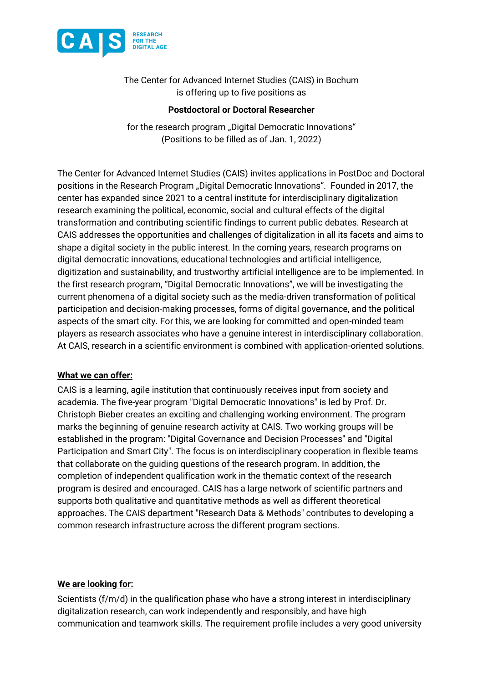

The Center for Advanced Internet Studies (CAIS) in Bochum is offering up to five positions as

## **Postdoctoral or Doctoral Researcher**

for the research program "Digital Democratic Innovations" (Positions to be filled as of Jan. 1, 2022)

The Center for Advanced Internet Studies (CAIS) invites applications in PostDoc and Doctoral positions in the Research Program "Digital Democratic Innovations". Founded in 2017, the center has expanded since 2021 to a central institute for interdisciplinary digitalization research examining the political, economic, social and cultural effects of the digital transformation and contributing scientific findings to current public debates. Research at CAIS addresses the opportunities and challenges of digitalization in all its facets and aims to shape a digital society in the public interest. In the coming years, research programs on digital democratic innovations, educational technologies and artificial intelligence, digitization and sustainability, and trustworthy artificial intelligence are to be implemented. In the first research program, "Digital Democratic Innovations", we will be investigating the current phenomena of a digital society such as the media-driven transformation of political participation and decision-making processes, forms of digital governance, and the political aspects of the smart city. For this, we are looking for committed and open-minded team players as research associates who have a genuine interest in interdisciplinary collaboration. At CAIS, research in a scientific environment is combined with application-oriented solutions.

## **What we can offer:**

CAIS is a learning, agile institution that continuously receives input from society and academia. The five-year program "Digital Democratic Innovations" is led by Prof. Dr. Christoph Bieber creates an exciting and challenging working environment. The program marks the beginning of genuine research activity at CAIS. Two working groups will be established in the program: "Digital Governance and Decision Processes" and "Digital Participation and Smart City". The focus is on interdisciplinary cooperation in flexible teams that collaborate on the guiding questions of the research program. In addition, the completion of independent qualification work in the thematic context of the research program is desired and encouraged. CAIS has a large network of scientific partners and supports both qualitative and quantitative methods as well as different theoretical approaches. The CAIS department "Research Data & Methods" contributes to developing a common research infrastructure across the different program sections.

## **We are looking for:**

Scientists (f/m/d) in the qualification phase who have a strong interest in interdisciplinary digitalization research, can work independently and responsibly, and have high communication and teamwork skills. The requirement profile includes a very good university